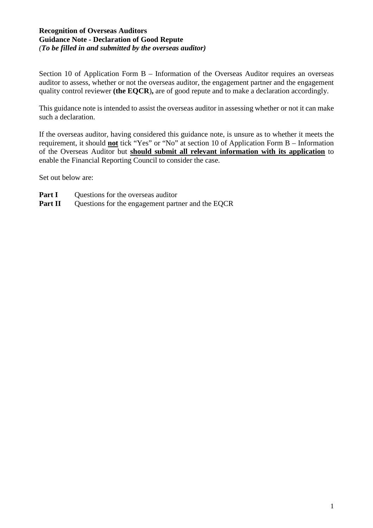### **Recognition of Overseas Auditors Guidance Note - Declaration of Good Repute** *(To be filled in and submitted by the overseas auditor)*

Section 10 of Application Form B – Information of the Overseas Auditor requires an overseas auditor to assess, whether or not the overseas auditor, the engagement partner and the engagement quality control reviewer **(the EQCR**)**,** are of good repute and to make a declaration accordingly.

This guidance note is intended to assist the overseas auditor in assessing whether or not it can make such a declaration.

If the overseas auditor, having considered this guidance note, is unsure as to whether it meets the requirement, it should **not** tick "Yes" or "No" at section 10 of Application Form B – Information of the Overseas Auditor but **should submit all relevant information with its application** to enable the Financial Reporting Council to consider the case.

Set out below are:

- **Part I** Questions for the overseas auditor
- **Part II** Questions for the engagement partner and the EQCR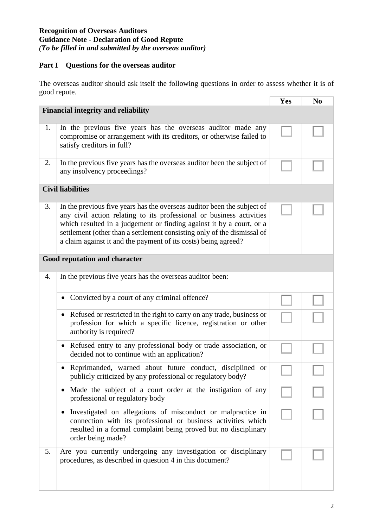### **Recognition of Overseas Auditors Guidance Note - Declaration of Good Repute** *(To be filled in and submitted by the overseas auditor)*

## **Part I Questions for the overseas auditor**

The overseas auditor should ask itself the following questions in order to assess whether it is of good repute.

|                               |                                                                                                                                                                                                                                                                                                                                                                      | Yes | N <sub>0</sub> |  |  |
|-------------------------------|----------------------------------------------------------------------------------------------------------------------------------------------------------------------------------------------------------------------------------------------------------------------------------------------------------------------------------------------------------------------|-----|----------------|--|--|
|                               | <b>Financial integrity and reliability</b>                                                                                                                                                                                                                                                                                                                           |     |                |  |  |
| 1.                            | In the previous five years has the overseas auditor made any<br>compromise or arrangement with its creditors, or otherwise failed to<br>satisfy creditors in full?                                                                                                                                                                                                   |     |                |  |  |
| 2.                            | In the previous five years has the overseas auditor been the subject of<br>any insolvency proceedings?                                                                                                                                                                                                                                                               |     |                |  |  |
| <b>Civil liabilities</b>      |                                                                                                                                                                                                                                                                                                                                                                      |     |                |  |  |
| 3.                            | In the previous five years has the overseas auditor been the subject of<br>any civil action relating to its professional or business activities<br>which resulted in a judgement or finding against it by a court, or a<br>settlement (other than a settlement consisting only of the dismissal of<br>a claim against it and the payment of its costs) being agreed? |     |                |  |  |
| Good reputation and character |                                                                                                                                                                                                                                                                                                                                                                      |     |                |  |  |
| 4.                            | In the previous five years has the overseas auditor been:                                                                                                                                                                                                                                                                                                            |     |                |  |  |
|                               | Convicted by a court of any criminal offence?                                                                                                                                                                                                                                                                                                                        |     |                |  |  |
|                               | Refused or restricted in the right to carry on any trade, business or<br>$\bullet$<br>profession for which a specific licence, registration or other<br>authority is required?                                                                                                                                                                                       |     |                |  |  |
|                               | Refused entry to any professional body or trade association, or<br>$\bullet$<br>decided not to continue with an application?                                                                                                                                                                                                                                         |     |                |  |  |
|                               | Reprimanded, warned about future conduct, disciplined or<br>publicly criticized by any professional or regulatory body?                                                                                                                                                                                                                                              |     |                |  |  |
|                               | Made the subject of a court order at the instigation of any<br>professional or regulatory body                                                                                                                                                                                                                                                                       |     |                |  |  |
|                               | Investigated on allegations of misconduct or malpractice in<br>connection with its professional or business activities which<br>resulted in a formal complaint being proved but no disciplinary<br>order being made?                                                                                                                                                 |     |                |  |  |
| 5.                            | Are you currently undergoing any investigation or disciplinary<br>procedures, as described in question 4 in this document?                                                                                                                                                                                                                                           |     |                |  |  |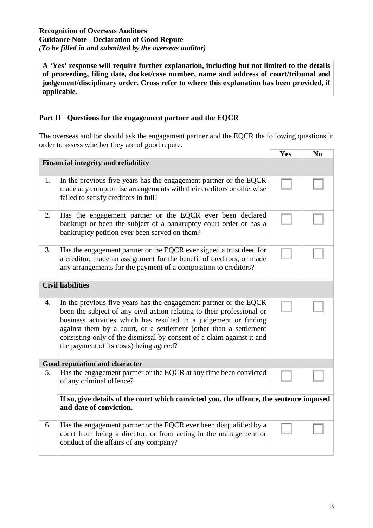### **Recognition of Overseas Auditors Guidance Note - Declaration of Good Repute** *(To be filled in and submitted by the overseas auditor)*

**A 'Yes' response will require further explanation, including but not limited to the details of proceeding, filing date***,* **docket/case number, name and address of court/tribunal and judgement/disciplinary order. Cross refer to where this explanation has been provided, if applicable.**

# **Part II Questions for the engagement partner and the EQCR**

The overseas auditor should ask the engagement partner and the EQCR the following questions in order to assess whether they are of good repute.  $\sqrt{\mathbf{v}_{\alpha s} + \mathbf{N}_{0}}$ 

|                          |                                                                                                                                                                                                                                                                                                                                                                                                          | r es | N0 |  |  |
|--------------------------|----------------------------------------------------------------------------------------------------------------------------------------------------------------------------------------------------------------------------------------------------------------------------------------------------------------------------------------------------------------------------------------------------------|------|----|--|--|
|                          | <b>Financial integrity and reliability</b>                                                                                                                                                                                                                                                                                                                                                               |      |    |  |  |
| 1.                       | In the previous five years has the engagement partner or the EQCR<br>made any compromise arrangements with their creditors or otherwise<br>failed to satisfy creditors in full?                                                                                                                                                                                                                          |      |    |  |  |
| 2.                       | Has the engagement partner or the EQCR ever been declared<br>bankrupt or been the subject of a bankruptcy court order or has a<br>bankruptcy petition ever been served on them?                                                                                                                                                                                                                          |      |    |  |  |
| 3.                       | Has the engagement partner or the EQCR ever signed a trust deed for<br>a creditor, made an assignment for the benefit of creditors, or made<br>any arrangements for the payment of a composition to creditors?                                                                                                                                                                                           |      |    |  |  |
| <b>Civil liabilities</b> |                                                                                                                                                                                                                                                                                                                                                                                                          |      |    |  |  |
| $\overline{4}$ .         | In the previous five years has the engagement partner or the EQCR<br>been the subject of any civil action relating to their professional or<br>business activities which has resulted in a judgement or finding<br>against them by a court, or a settlement (other than a settlement<br>consisting only of the dismissal by consent of a claim against it and<br>the payment of its costs) being agreed? |      |    |  |  |
|                          | Good reputation and character                                                                                                                                                                                                                                                                                                                                                                            |      |    |  |  |
| 5.                       | Has the engagement partner or the EQCR at any time been convicted<br>of any criminal offence?                                                                                                                                                                                                                                                                                                            |      |    |  |  |
|                          | If so, give details of the court which convicted you, the offence, the sentence imposed<br>and date of conviction.                                                                                                                                                                                                                                                                                       |      |    |  |  |
| 6.                       | Has the engagement partner or the EQCR ever been disqualified by a<br>court from being a director, or from acting in the management or<br>conduct of the affairs of any company?                                                                                                                                                                                                                         |      |    |  |  |